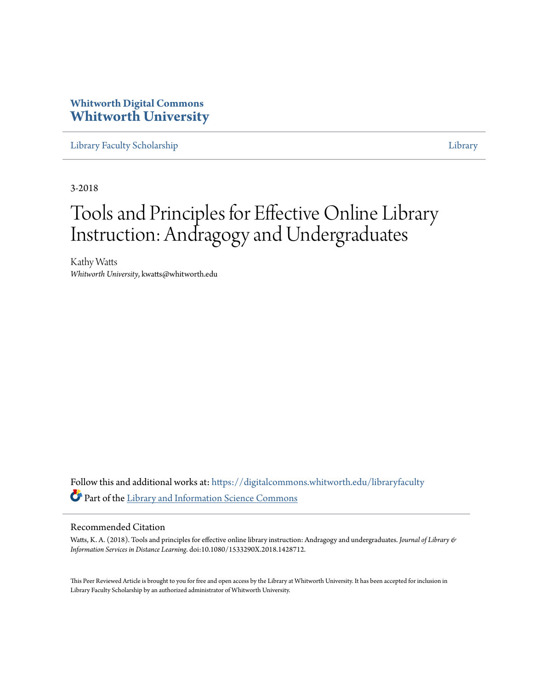## **Whitworth Digital Commons [Whitworth University](https://digitalcommons.whitworth.edu?utm_source=digitalcommons.whitworth.edu%2Flibraryfaculty%2F26&utm_medium=PDF&utm_campaign=PDFCoverPages)**

[Library Faculty Scholarship](https://digitalcommons.whitworth.edu/libraryfaculty?utm_source=digitalcommons.whitworth.edu%2Flibraryfaculty%2F26&utm_medium=PDF&utm_campaign=PDFCoverPages) [Library](https://digitalcommons.whitworth.edu/library?utm_source=digitalcommons.whitworth.edu%2Flibraryfaculty%2F26&utm_medium=PDF&utm_campaign=PDFCoverPages)

3-2018

# Tools and Principles for Effective Online Library Instruction: Andragogy and Undergraduates

Kathy Watts *Whitworth University*, kwatts@whitworth.edu

Follow this and additional works at: [https://digitalcommons.whitworth.edu/libraryfaculty](https://digitalcommons.whitworth.edu/libraryfaculty?utm_source=digitalcommons.whitworth.edu%2Flibraryfaculty%2F26&utm_medium=PDF&utm_campaign=PDFCoverPages) Part of the [Library and Information Science Commons](http://network.bepress.com/hgg/discipline/1018?utm_source=digitalcommons.whitworth.edu%2Flibraryfaculty%2F26&utm_medium=PDF&utm_campaign=PDFCoverPages)

#### Recommended Citation

Watts, K. A. (2018). Tools and principles for effective online library instruction: Andragogy and undergraduates. *Journal of Library & Information Services in Distance Learning*. doi:10.1080/1533290X.2018.1428712.

This Peer Reviewed Article is brought to you for free and open access by the Library at Whitworth University. It has been accepted for inclusion in Library Faculty Scholarship by an authorized administrator of Whitworth University.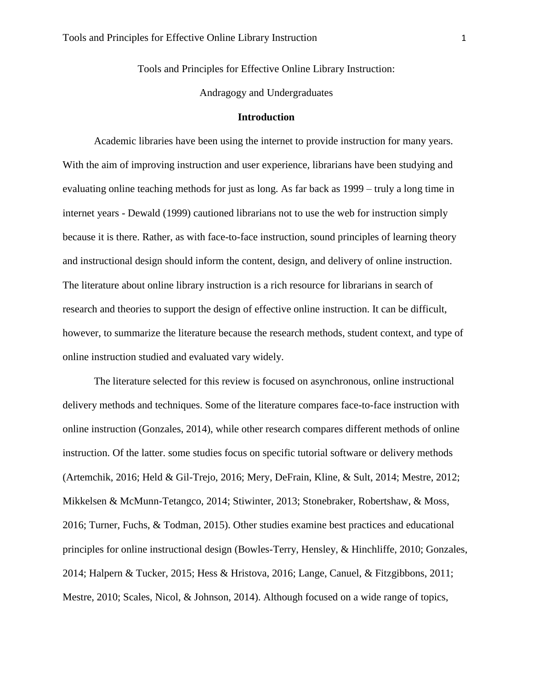Tools and Principles for Effective Online Library Instruction:

Andragogy and Undergraduates

#### **Introduction**

Academic libraries have been using the internet to provide instruction for many years. With the aim of improving instruction and user experience, librarians have been studying and evaluating online teaching methods for just as long. As far back as 1999 – truly a long time in internet years - Dewald (1999) cautioned librarians not to use the web for instruction simply because it is there. Rather, as with face-to-face instruction, sound principles of learning theory and instructional design should inform the content, design, and delivery of online instruction. The literature about online library instruction is a rich resource for librarians in search of research and theories to support the design of effective online instruction. It can be difficult, however, to summarize the literature because the research methods, student context, and type of online instruction studied and evaluated vary widely.

The literature selected for this review is focused on asynchronous, online instructional delivery methods and techniques. Some of the literature compares face-to-face instruction with online instruction (Gonzales, 2014), while other research compares different methods of online instruction. Of the latter. some studies focus on specific tutorial software or delivery methods (Artemchik, 2016; Held & Gil-Trejo, 2016; Mery, DeFrain, Kline, & Sult, 2014; Mestre, 2012; Mikkelsen & McMunn-Tetangco, 2014; Stiwinter, 2013; Stonebraker, Robertshaw, & Moss, 2016; Turner, Fuchs, & Todman, 2015). Other studies examine best practices and educational principles for online instructional design (Bowles-Terry, Hensley, & Hinchliffe, 2010; Gonzales, 2014; Halpern & Tucker, 2015; Hess & Hristova, 2016; Lange, Canuel, & Fitzgibbons, 2011; Mestre, 2010; Scales, Nicol, & Johnson, 2014). Although focused on a wide range of topics,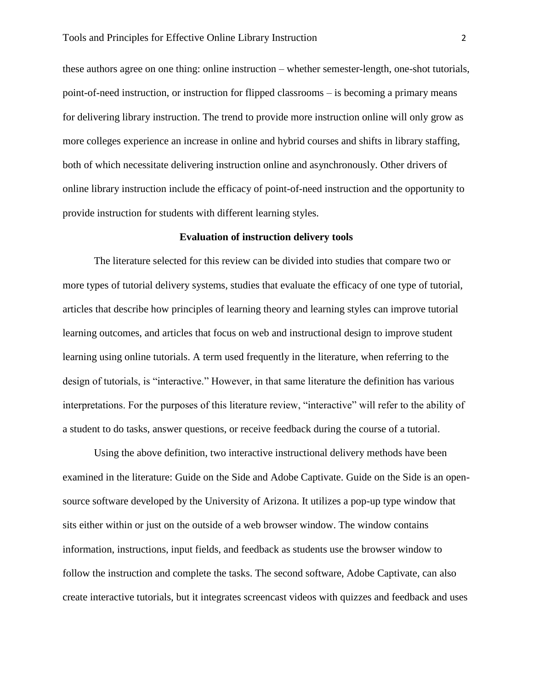these authors agree on one thing: online instruction – whether semester-length, one-shot tutorials, point-of-need instruction, or instruction for flipped classrooms – is becoming a primary means for delivering library instruction. The trend to provide more instruction online will only grow as more colleges experience an increase in online and hybrid courses and shifts in library staffing, both of which necessitate delivering instruction online and asynchronously. Other drivers of online library instruction include the efficacy of point-of-need instruction and the opportunity to provide instruction for students with different learning styles.

#### **Evaluation of instruction delivery tools**

The literature selected for this review can be divided into studies that compare two or more types of tutorial delivery systems, studies that evaluate the efficacy of one type of tutorial, articles that describe how principles of learning theory and learning styles can improve tutorial learning outcomes, and articles that focus on web and instructional design to improve student learning using online tutorials. A term used frequently in the literature, when referring to the design of tutorials, is "interactive." However, in that same literature the definition has various interpretations. For the purposes of this literature review, "interactive" will refer to the ability of a student to do tasks, answer questions, or receive feedback during the course of a tutorial.

Using the above definition, two interactive instructional delivery methods have been examined in the literature: Guide on the Side and Adobe Captivate. Guide on the Side is an opensource software developed by the University of Arizona. It utilizes a pop-up type window that sits either within or just on the outside of a web browser window. The window contains information, instructions, input fields, and feedback as students use the browser window to follow the instruction and complete the tasks. The second software, Adobe Captivate, can also create interactive tutorials, but it integrates screencast videos with quizzes and feedback and uses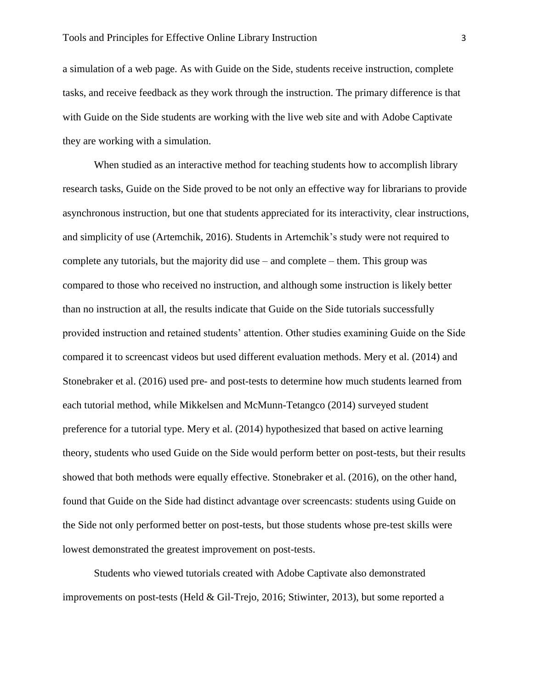a simulation of a web page. As with Guide on the Side, students receive instruction, complete tasks, and receive feedback as they work through the instruction. The primary difference is that with Guide on the Side students are working with the live web site and with Adobe Captivate they are working with a simulation.

When studied as an interactive method for teaching students how to accomplish library research tasks, Guide on the Side proved to be not only an effective way for librarians to provide asynchronous instruction, but one that students appreciated for its interactivity, clear instructions, and simplicity of use (Artemchik, 2016). Students in Artemchik's study were not required to complete any tutorials, but the majority did use – and complete – them. This group was compared to those who received no instruction, and although some instruction is likely better than no instruction at all, the results indicate that Guide on the Side tutorials successfully provided instruction and retained students' attention. Other studies examining Guide on the Side compared it to screencast videos but used different evaluation methods. Mery et al. (2014) and Stonebraker et al. (2016) used pre- and post-tests to determine how much students learned from each tutorial method, while Mikkelsen and McMunn-Tetangco (2014) surveyed student preference for a tutorial type. Mery et al. (2014) hypothesized that based on active learning theory, students who used Guide on the Side would perform better on post-tests, but their results showed that both methods were equally effective. Stonebraker et al. (2016), on the other hand, found that Guide on the Side had distinct advantage over screencasts: students using Guide on the Side not only performed better on post-tests, but those students whose pre-test skills were lowest demonstrated the greatest improvement on post-tests.

Students who viewed tutorials created with Adobe Captivate also demonstrated improvements on post-tests (Held & Gil-Trejo, 2016; Stiwinter, 2013), but some reported a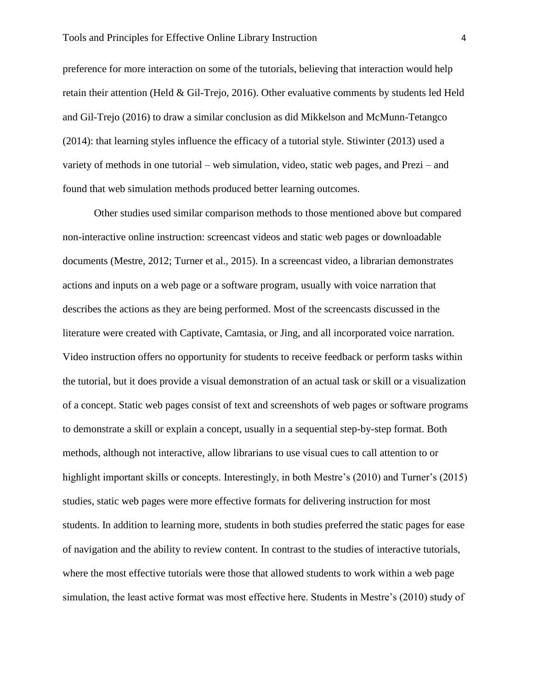preference for more interaction on some of the tutorials, believing that interaction would help retain their attention (Held & Gil-Trejo, 2016). Other evaluative comments by students led Held and Gil-Trejo (2016) to draw a similar conclusion as did Mikkelson and McMunn-Tetangco (2014): that learning styles influence the efficacy of a tutorial style. Stiwinter (2013) used a variety of methods in one tutorial – web simulation, video, static web pages, and Prezi – and found that web simulation methods produced better learning outcomes.

Other studies used similar comparison methods to those mentioned above but compared non-interactive online instruction: screencast videos and static web pages or downloadable documents (Mestre, 2012; Turner et al., 2015). In a screencast video, a librarian demonstrates actions and inputs on a web page or a software program, usually with voice narration that describes the actions as they are being performed. Most of the screencasts discussed in the literature were created with Captivate, Camtasia, or Jing, and all incorporated voice narration. Video instruction offers no opportunity for students to receive feedback or perform tasks within the tutorial, but it does provide a visual demonstration of an actual task or skill or a visualization of a concept. Static web pages consist of text and screenshots of web pages or software programs to demonstrate a skill or explain a concept, usually in a sequential step-by-step format. Both methods, although not interactive, allow librarians to use visual cues to call attention to or highlight important skills or concepts. Interestingly, in both Mestre's (2010) and Turner's (2015) studies, static web pages were more effective formats for delivering instruction for most students. In addition to learning more, students in both studies preferred the static pages for ease of navigation and the ability to review content. In contrast to the studies of interactive tutorials, where the most effective tutorials were those that allowed students to work within a web page simulation, the least active format was most effective here. Students in Mestre's (2010) study of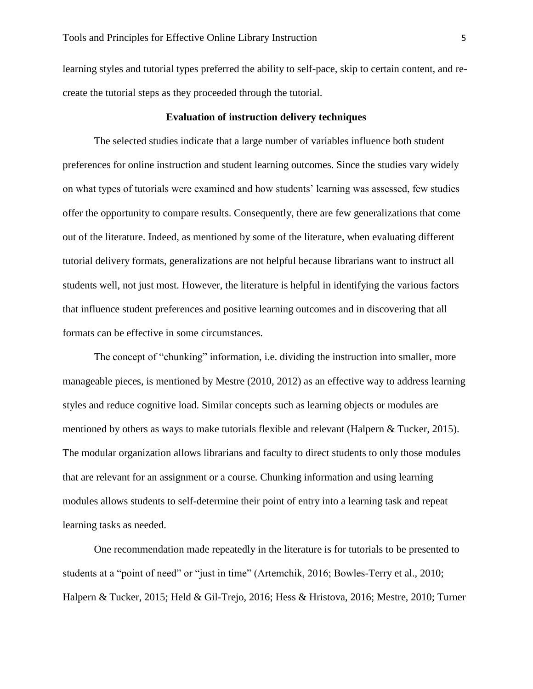learning styles and tutorial types preferred the ability to self-pace, skip to certain content, and recreate the tutorial steps as they proceeded through the tutorial.

#### **Evaluation of instruction delivery techniques**

The selected studies indicate that a large number of variables influence both student preferences for online instruction and student learning outcomes. Since the studies vary widely on what types of tutorials were examined and how students' learning was assessed, few studies offer the opportunity to compare results. Consequently, there are few generalizations that come out of the literature. Indeed, as mentioned by some of the literature, when evaluating different tutorial delivery formats, generalizations are not helpful because librarians want to instruct all students well, not just most. However, the literature is helpful in identifying the various factors that influence student preferences and positive learning outcomes and in discovering that all formats can be effective in some circumstances.

The concept of "chunking" information, i.e. dividing the instruction into smaller, more manageable pieces, is mentioned by Mestre (2010, 2012) as an effective way to address learning styles and reduce cognitive load. Similar concepts such as learning objects or modules are mentioned by others as ways to make tutorials flexible and relevant (Halpern & Tucker, 2015). The modular organization allows librarians and faculty to direct students to only those modules that are relevant for an assignment or a course. Chunking information and using learning modules allows students to self-determine their point of entry into a learning task and repeat learning tasks as needed.

One recommendation made repeatedly in the literature is for tutorials to be presented to students at a "point of need" or "just in time" (Artemchik, 2016; Bowles-Terry et al., 2010; Halpern & Tucker, 2015; Held & Gil-Trejo, 2016; Hess & Hristova, 2016; Mestre, 2010; Turner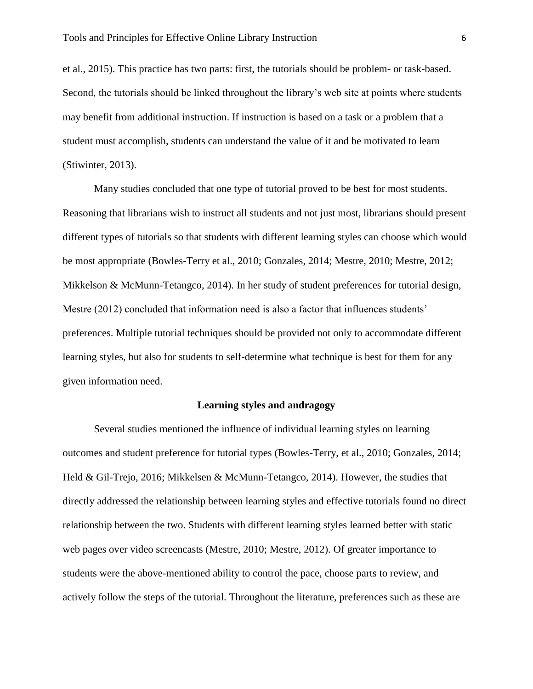et al., 2015). This practice has two parts: first, the tutorials should be problem- or task-based. Second, the tutorials should be linked throughout the library's web site at points where students may benefit from additional instruction. If instruction is based on a task or a problem that a student must accomplish, students can understand the value of it and be motivated to learn (Stiwinter, 2013).

Many studies concluded that one type of tutorial proved to be best for most students. Reasoning that librarians wish to instruct all students and not just most, librarians should present different types of tutorials so that students with different learning styles can choose which would be most appropriate (Bowles-Terry et al., 2010; Gonzales, 2014; Mestre, 2010; Mestre, 2012; Mikkelson & McMunn-Tetangco, 2014). In her study of student preferences for tutorial design, Mestre (2012) concluded that information need is also a factor that influences students' preferences. Multiple tutorial techniques should be provided not only to accommodate different learning styles, but also for students to self-determine what technique is best for them for any given information need.

#### **Learning styles and andragogy**

Several studies mentioned the influence of individual learning styles on learning outcomes and student preference for tutorial types (Bowles-Terry, et al., 2010; Gonzales, 2014; Held & Gil-Trejo, 2016; Mikkelsen & McMunn-Tetangco, 2014). However, the studies that directly addressed the relationship between learning styles and effective tutorials found no direct relationship between the two. Students with different learning styles learned better with static web pages over video screencasts (Mestre, 2010; Mestre, 2012). Of greater importance to students were the above-mentioned ability to control the pace, choose parts to review, and actively follow the steps of the tutorial. Throughout the literature, preferences such as these are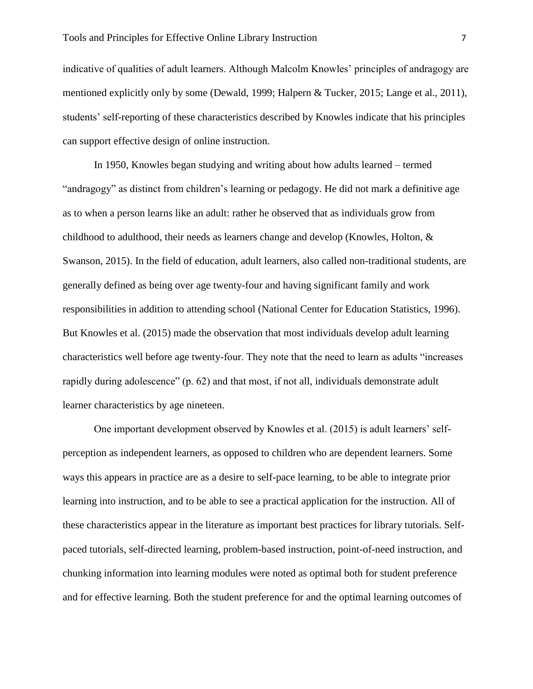indicative of qualities of adult learners. Although Malcolm Knowles' principles of andragogy are mentioned explicitly only by some (Dewald, 1999; Halpern & Tucker, 2015; Lange et al., 2011), students' self-reporting of these characteristics described by Knowles indicate that his principles can support effective design of online instruction.

In 1950, Knowles began studying and writing about how adults learned – termed "andragogy" as distinct from children's learning or pedagogy. He did not mark a definitive age as to when a person learns like an adult: rather he observed that as individuals grow from childhood to adulthood, their needs as learners change and develop (Knowles, Holton, & Swanson, 2015). In the field of education, adult learners, also called non-traditional students, are generally defined as being over age twenty-four and having significant family and work responsibilities in addition to attending school (National Center for Education Statistics, 1996). But Knowles et al. (2015) made the observation that most individuals develop adult learning characteristics well before age twenty-four. They note that the need to learn as adults "increases rapidly during adolescence" (p. 62) and that most, if not all, individuals demonstrate adult learner characteristics by age nineteen.

One important development observed by Knowles et al. (2015) is adult learners' selfperception as independent learners, as opposed to children who are dependent learners. Some ways this appears in practice are as a desire to self-pace learning, to be able to integrate prior learning into instruction, and to be able to see a practical application for the instruction. All of these characteristics appear in the literature as important best practices for library tutorials. Selfpaced tutorials, self-directed learning, problem-based instruction, point-of-need instruction, and chunking information into learning modules were noted as optimal both for student preference and for effective learning. Both the student preference for and the optimal learning outcomes of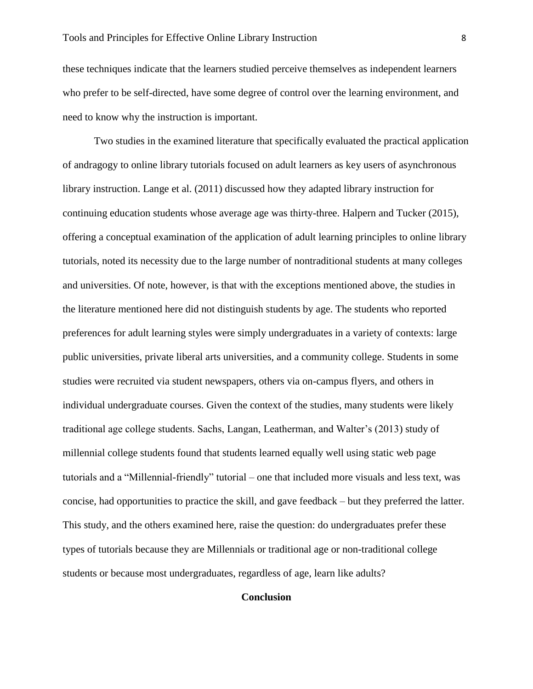these techniques indicate that the learners studied perceive themselves as independent learners who prefer to be self-directed, have some degree of control over the learning environment, and need to know why the instruction is important.

Two studies in the examined literature that specifically evaluated the practical application of andragogy to online library tutorials focused on adult learners as key users of asynchronous library instruction. Lange et al. (2011) discussed how they adapted library instruction for continuing education students whose average age was thirty-three. Halpern and Tucker (2015), offering a conceptual examination of the application of adult learning principles to online library tutorials, noted its necessity due to the large number of nontraditional students at many colleges and universities. Of note, however, is that with the exceptions mentioned above, the studies in the literature mentioned here did not distinguish students by age. The students who reported preferences for adult learning styles were simply undergraduates in a variety of contexts: large public universities, private liberal arts universities, and a community college. Students in some studies were recruited via student newspapers, others via on-campus flyers, and others in individual undergraduate courses. Given the context of the studies, many students were likely traditional age college students. Sachs, Langan, Leatherman, and Walter's (2013) study of millennial college students found that students learned equally well using static web page tutorials and a "Millennial-friendly" tutorial – one that included more visuals and less text, was concise, had opportunities to practice the skill, and gave feedback – but they preferred the latter. This study, and the others examined here, raise the question: do undergraduates prefer these types of tutorials because they are Millennials or traditional age or non-traditional college students or because most undergraduates, regardless of age, learn like adults?

### **Conclusion**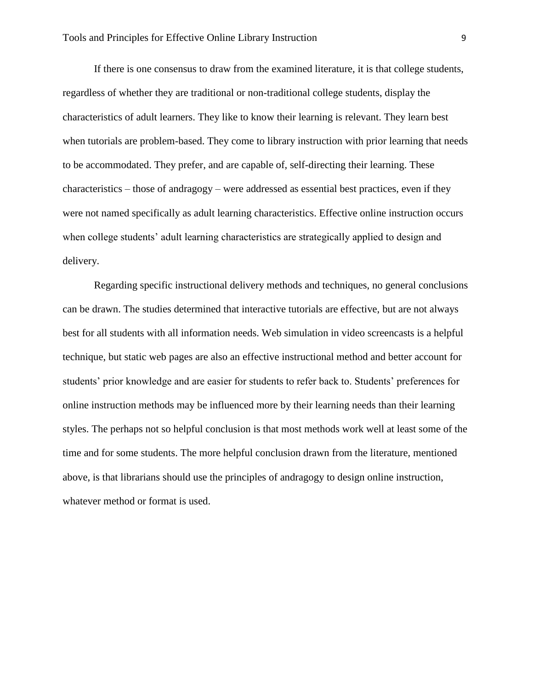If there is one consensus to draw from the examined literature, it is that college students, regardless of whether they are traditional or non-traditional college students, display the characteristics of adult learners. They like to know their learning is relevant. They learn best when tutorials are problem-based. They come to library instruction with prior learning that needs to be accommodated. They prefer, and are capable of, self-directing their learning. These characteristics – those of andragogy – were addressed as essential best practices, even if they were not named specifically as adult learning characteristics. Effective online instruction occurs when college students' adult learning characteristics are strategically applied to design and delivery.

Regarding specific instructional delivery methods and techniques, no general conclusions can be drawn. The studies determined that interactive tutorials are effective, but are not always best for all students with all information needs. Web simulation in video screencasts is a helpful technique, but static web pages are also an effective instructional method and better account for students' prior knowledge and are easier for students to refer back to. Students' preferences for online instruction methods may be influenced more by their learning needs than their learning styles. The perhaps not so helpful conclusion is that most methods work well at least some of the time and for some students. The more helpful conclusion drawn from the literature, mentioned above, is that librarians should use the principles of andragogy to design online instruction, whatever method or format is used.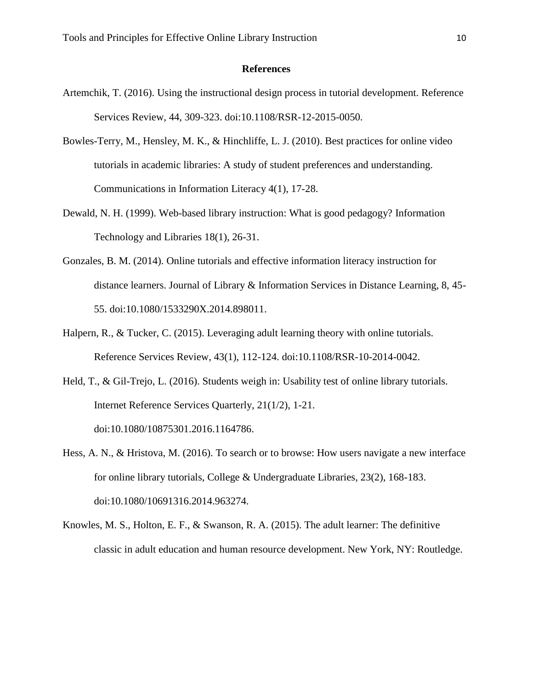#### **References**

- Artemchik, T. (2016). Using the instructional design process in tutorial development. Reference Services Review, 44, 309-323. doi:10.1108/RSR-12-2015-0050.
- Bowles-Terry, M., Hensley, M. K., & Hinchliffe, L. J. (2010). Best practices for online video tutorials in academic libraries: A study of student preferences and understanding. Communications in Information Literacy 4(1), 17-28.
- Dewald, N. H. (1999). Web-based library instruction: What is good pedagogy? Information Technology and Libraries 18(1), 26-31.
- Gonzales, B. M. (2014). Online tutorials and effective information literacy instruction for distance learners. Journal of Library & Information Services in Distance Learning, 8, 45- 55. doi:10.1080/1533290X.2014.898011.
- Halpern, R., & Tucker, C. (2015). Leveraging adult learning theory with online tutorials. Reference Services Review, 43(1), 112-124. doi:10.1108/RSR-10-2014-0042.
- Held, T., & Gil-Trejo, L. (2016). Students weigh in: Usability test of online library tutorials. Internet Reference Services Quarterly, 21(1/2), 1-21. doi:10.1080/10875301.2016.1164786.
- Hess, A. N., & Hristova, M. (2016). To search or to browse: How users navigate a new interface for online library tutorials, College & Undergraduate Libraries, 23(2), 168-183. doi:10.1080/10691316.2014.963274.
- Knowles, M. S., Holton, E. F., & Swanson, R. A. (2015). The adult learner: The definitive classic in adult education and human resource development. New York, NY: Routledge.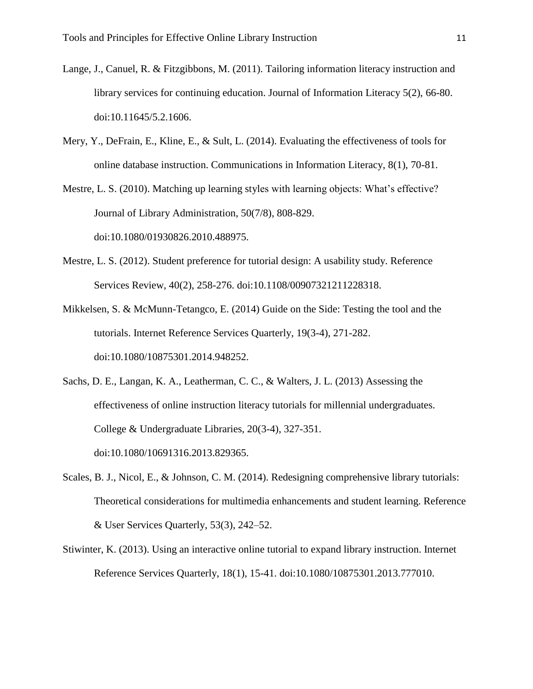- Lange, J., Canuel, R. & Fitzgibbons, M. (2011). Tailoring information literacy instruction and library services for continuing education. Journal of Information Literacy 5(2), 66-80. doi:10.11645/5.2.1606.
- Mery, Y., DeFrain, E., Kline, E., & Sult, L. (2014). Evaluating the effectiveness of tools for online database instruction. Communications in Information Literacy, 8(1), 70-81.
- Mestre, L. S. (2010). Matching up learning styles with learning objects: What's effective? Journal of Library Administration, 50(7/8), 808-829. doi:10.1080/01930826.2010.488975.
- Mestre, L. S. (2012). Student preference for tutorial design: A usability study. Reference Services Review, 40(2), 258-276. doi:10.1108/00907321211228318.
- Mikkelsen, S. & McMunn-Tetangco, E. (2014) Guide on the Side: Testing the tool and the tutorials. Internet Reference Services Quarterly, 19(3-4), 271-282. doi:10.1080/10875301.2014.948252.
- Sachs, D. E., Langan, K. A., Leatherman, C. C., & Walters, J. L. (2013) Assessing the effectiveness of online instruction literacy tutorials for millennial undergraduates. College & Undergraduate Libraries, 20(3-4), 327-351. doi:10.1080/10691316.2013.829365.
- Scales, B. J., Nicol, E., & Johnson, C. M. (2014). Redesigning comprehensive library tutorials: Theoretical considerations for multimedia enhancements and student learning. Reference & User Services Quarterly, 53(3), 242–52.
- Stiwinter, K. (2013). Using an interactive online tutorial to expand library instruction. Internet Reference Services Quarterly, 18(1), 15-41. doi:10.1080/10875301.2013.777010.